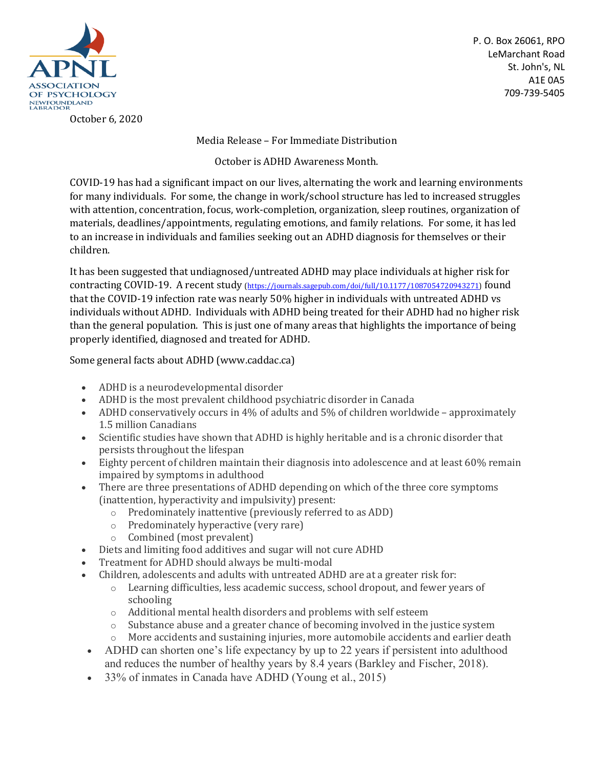

October 6, 2020

P. O. Box 26061, RPO LeMarchant Road St. John's, NL A1E 0A5 709-739-5405

Media Release – For Immediate Distribution

October is ADHD Awareness Month.

COVID-19 has had a significant impact on our lives, alternating the work and learning environments for many individuals. For some, the change in work/school structure has led to increased struggles with attention, concentration, focus, work-completion, organization, sleep routines, organization of materials, deadlines/appointments, regulating emotions, and family relations. For some, it has led to an increase in individuals and families seeking out an ADHD diagnosis for themselves or their children.

It has been suggested that undiagnosed/untreated ADHD may place individuals at higher risk for contracting COVID-19. A recent study [\(https://journals.sagepub.com/doi/full/10.1177/1087054720943271\)](https://journals.sagepub.com/doi/full/10.1177/1087054720943271) found that the COVID-19 infection rate was nearly 50% higher in individuals with untreated ADHD vs individuals without ADHD. Individuals with ADHD being treated for their ADHD had no higher risk than the general population. This is just one of many areas that highlights the importance of being properly identified, diagnosed and treated for ADHD.

Some general facts about ADHD (www.caddac.ca)

- ADHD is a neurodevelopmental disorder
- ADHD is the most prevalent childhood psychiatric disorder in Canada
- ADHD conservatively occurs in 4% of adults and 5% of children worldwide approximately 1.5 million Canadians
- Scientific studies have shown that ADHD is highly heritable and is a chronic disorder that persists throughout the lifespan
- Eighty percent of children maintain their diagnosis into adolescence and at least 60% remain impaired by symptoms in adulthood
- There are three presentations of ADHD depending on which of the three core symptoms (inattention, hyperactivity and impulsivity) present:
	- o Predominately inattentive (previously referred to as ADD)
	- $\circ$  Predominately hyperactive (very rare)<br>  $\circ$  Combined (most prevalent)
	- Combined (most prevalent)
- Diets and limiting food additives and sugar will not cure ADHD
- Treatment for ADHD should always be multi-modal
- Children, adolescents and adults with untreated ADHD are at a greater risk for:
	- o Learning difficulties, less academic success, school dropout, and fewer years of schooling
	- o Additional mental health disorders and problems with self esteem
	- o Substance abuse and a greater chance of becoming involved in the justice system
	- o More accidents and sustaining injuries, more automobile accidents and earlier death
- ADHD can shorten one's life expectancy by up to 22 years if persistent into adulthood and reduces the number of healthy years by 8.4 years (Barkley and Fischer, 2018).
- 33% of inmates in Canada have ADHD (Young et al., 2015)